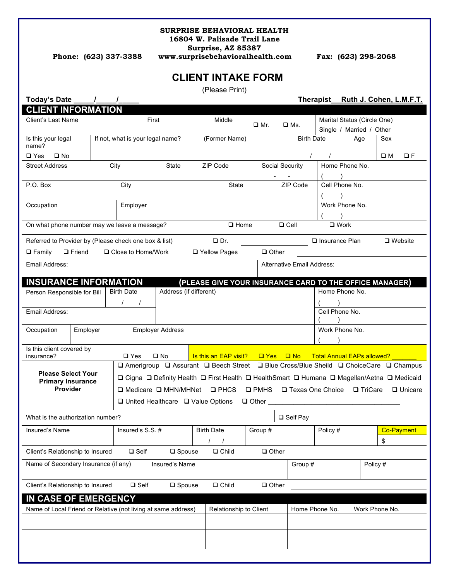#### **SURPRISE BEHAVIORAL HEALTH**

**16804 W. Palisade Trail Lane**

**Surprise, AZ 85387**

**Phone: (623) 337-3388 www.surprisebehavioralhealth.com Fax: (623) 298-2068**

## **CLIENT INTAKE FORM**

|                                                                                                                                                                                         |                |                                              |                                                                |                 |                  |                        | (Please Print)                                                                         |                 |                 |                                  |                                                                                             |                                                        |                |  |                         |          |  |
|-----------------------------------------------------------------------------------------------------------------------------------------------------------------------------------------|----------------|----------------------------------------------|----------------------------------------------------------------|-----------------|------------------|------------------------|----------------------------------------------------------------------------------------|-----------------|-----------------|----------------------------------|---------------------------------------------------------------------------------------------|--------------------------------------------------------|----------------|--|-------------------------|----------|--|
| Today's Date                                                                                                                                                                            |                |                                              |                                                                |                 |                  |                        |                                                                                        |                 |                 |                                  |                                                                                             | Therapist_Ruth J. Cohen, L.M.F.T.                      |                |  |                         |          |  |
| <b>CLIENT INFORMATION</b>                                                                                                                                                               |                |                                              |                                                                |                 |                  |                        |                                                                                        |                 |                 |                                  |                                                                                             |                                                        |                |  |                         |          |  |
| Client's Last Name                                                                                                                                                                      |                |                                              | First                                                          |                 |                  | Middle                 |                                                                                        |                 | $\Box$ Mr.      |                                  | $\square$ Ms.                                                                               | Marital Status (Circle One)                            |                |  |                         |          |  |
| Is this your legal                                                                                                                                                                      |                |                                              | If not, what is your legal name?                               |                 |                  | (Former Name)          |                                                                                        |                 |                 |                                  | <b>Birth Date</b>                                                                           | Single / Married / Other<br>Age                        |                |  | Sex                     |          |  |
| name?                                                                                                                                                                                   |                |                                              |                                                                |                 |                  |                        |                                                                                        |                 |                 |                                  |                                                                                             |                                                        |                |  |                         |          |  |
| $\square$ Yes<br>$\square$ No                                                                                                                                                           |                |                                              |                                                                |                 |                  |                        |                                                                                        |                 |                 |                                  | $\prime$                                                                                    | $\prime$                                               |                |  | $\square$ M             | $\Box F$ |  |
| <b>Street Address</b>                                                                                                                                                                   |                | City<br><b>State</b>                         |                                                                |                 | ZIP Code         |                        |                                                                                        | Social Security |                 |                                  | Home Phone No.                                                                              |                                                        |                |  |                         |          |  |
| P.O. Box                                                                                                                                                                                |                |                                              | City                                                           |                 |                  | State                  |                                                                                        |                 |                 |                                  |                                                                                             | Cell Phone No.                                         |                |  |                         |          |  |
|                                                                                                                                                                                         |                |                                              |                                                                |                 |                  |                        |                                                                                        | <b>ZIP Code</b> |                 |                                  |                                                                                             |                                                        |                |  |                         |          |  |
| Occupation                                                                                                                                                                              |                | Employer                                     |                                                                |                 |                  |                        |                                                                                        |                 |                 |                                  | Work Phone No.                                                                              |                                                        |                |  |                         |          |  |
|                                                                                                                                                                                         |                |                                              |                                                                |                 |                  |                        |                                                                                        |                 |                 |                                  |                                                                                             |                                                        |                |  |                         |          |  |
|                                                                                                                                                                                         |                | On what phone number may we leave a message? |                                                                |                 | $\square$ Home   |                        |                                                                                        | $\Box$ Cell     |                 |                                  | $\Box$ Work                                                                                 |                                                        |                |  |                         |          |  |
| $\Box$ Dr.<br>Referred to Provider by (Please check one box & list)<br>$\Box$ Insurance Plan                                                                                            |                |                                              |                                                                |                 |                  |                        |                                                                                        |                 |                 | $\Box$ Website                   |                                                                                             |                                                        |                |  |                         |          |  |
| $\Box$ Family<br>$\Box$ Friend                                                                                                                                                          | □ Yellow Pages |                                              | $\Box$ Other                                                   |                 |                  |                        |                                                                                        |                 |                 |                                  |                                                                                             |                                                        |                |  |                         |          |  |
| Email Address:<br><b>Alternative Email Address:</b>                                                                                                                                     |                |                                              |                                                                |                 |                  |                        |                                                                                        |                 |                 |                                  |                                                                                             |                                                        |                |  |                         |          |  |
|                                                                                                                                                                                         |                |                                              |                                                                |                 |                  |                        |                                                                                        |                 |                 |                                  |                                                                                             |                                                        |                |  |                         |          |  |
| <b>INSURANCE INFORMATION</b><br>(PLEASE GIVE YOUR INSURANCE CARD TO THE OFFICE MANAGER)<br><b>Birth Date</b><br>Address (if different)<br>Home Phone No.<br>Person Responsible for Bill |                |                                              |                                                                |                 |                  |                        |                                                                                        |                 |                 |                                  |                                                                                             |                                                        |                |  |                         |          |  |
|                                                                                                                                                                                         |                |                                              | $\prime$                                                       |                 |                  |                        |                                                                                        |                 |                 |                                  |                                                                                             |                                                        |                |  |                         |          |  |
| Email Address:                                                                                                                                                                          |                |                                              |                                                                |                 |                  |                        |                                                                                        |                 |                 |                                  |                                                                                             | Cell Phone No.                                         |                |  |                         |          |  |
| Occupation<br>Employer                                                                                                                                                                  |                |                                              | <b>Employer Address</b>                                        |                 |                  |                        |                                                                                        |                 |                 |                                  |                                                                                             |                                                        | Work Phone No. |  |                         |          |  |
|                                                                                                                                                                                         |                |                                              |                                                                |                 |                  |                        |                                                                                        |                 |                 |                                  |                                                                                             |                                                        |                |  |                         |          |  |
| Is this client covered by<br>insurance?                                                                                                                                                 |                |                                              |                                                                | $\square$ Yes   | $\square$ No     |                        | Is this an EAP visit?                                                                  |                 | $\Box$ Yes      |                                  | $\Box$ No                                                                                   | <b>Total Annual EAPs allowed?</b>                      |                |  |                         |          |  |
|                                                                                                                                                                                         |                |                                              |                                                                |                 |                  |                        | □ Amerigroup □ Assurant □ Beech Street □ Blue Cross/Blue Sheild □ ChoiceCare □ Champus |                 |                 |                                  |                                                                                             |                                                        |                |  |                         |          |  |
| <b>Please Select Your</b><br><b>Primary Insurance</b><br><b>Provider</b>                                                                                                                |                |                                              |                                                                |                 |                  |                        |                                                                                        |                 |                 |                                  | □ Cigna □ Definity Health □ First Health □ HealthSmart □ Humana □ Magellan/Aetna □ Medicaid |                                                        |                |  |                         |          |  |
|                                                                                                                                                                                         |                |                                              | $\Box$ Medicare $\Box$ MHN/MHNet $\Box$ PHCS<br>$\square$ PMHS |                 |                  |                        |                                                                                        |                 |                 |                                  |                                                                                             | □ Texas One Choice<br>$\Box$ TriCare<br>$\Box$ Unicare |                |  |                         |          |  |
|                                                                                                                                                                                         |                |                                              |                                                                |                 |                  |                        |                                                                                        | $\Box$ Other    |                 |                                  |                                                                                             |                                                        |                |  |                         |          |  |
| $\Box$ United Healthcare $\Box$ Value Options                                                                                                                                           |                |                                              |                                                                |                 |                  |                        |                                                                                        |                 |                 |                                  |                                                                                             |                                                        |                |  |                         |          |  |
| What is the authorization number?                                                                                                                                                       |                |                                              |                                                                |                 |                  |                        |                                                                                        |                 | $\Box$ Self Pay |                                  |                                                                                             |                                                        |                |  |                         |          |  |
| Insured's Name                                                                                                                                                                          |                |                                              |                                                                | Insured's S.S.# |                  |                        | <b>Birth Date</b><br>$\prime$<br>$\prime$                                              |                 | Group #         |                                  |                                                                                             | Policy #                                               |                |  | <b>Co-Payment</b><br>\$ |          |  |
| Client's Relationship to Insured                                                                                                                                                        |                |                                              |                                                                | $\square$ Self  | $\square$ Spouse |                        | $\Box$ Child                                                                           |                 | $\Box$ Other    |                                  |                                                                                             |                                                        |                |  |                         |          |  |
| Name of Secondary Insurance (if any)<br>Insured's Name                                                                                                                                  |                |                                              |                                                                |                 |                  |                        |                                                                                        | Group #         |                 |                                  |                                                                                             | Policy #                                               |                |  |                         |          |  |
|                                                                                                                                                                                         |                |                                              |                                                                |                 |                  |                        |                                                                                        |                 |                 |                                  |                                                                                             |                                                        |                |  |                         |          |  |
| Client's Relationship to Insured                                                                                                                                                        |                |                                              |                                                                | $\square$ Self  | $\square$ Spouse |                        | $\Box$ Child                                                                           |                 | $\Box$ Other    |                                  |                                                                                             |                                                        |                |  |                         |          |  |
| IN CASE OF EMERGENCY                                                                                                                                                                    |                |                                              |                                                                |                 |                  |                        |                                                                                        |                 |                 |                                  |                                                                                             |                                                        |                |  |                         |          |  |
| Name of Local Friend or Relative (not living at same address)                                                                                                                           |                |                                              |                                                                |                 |                  | Relationship to Client |                                                                                        |                 |                 | Home Phone No.<br>Work Phone No. |                                                                                             |                                                        |                |  |                         |          |  |
|                                                                                                                                                                                         |                |                                              |                                                                |                 |                  |                        |                                                                                        |                 |                 |                                  |                                                                                             |                                                        |                |  |                         |          |  |
|                                                                                                                                                                                         |                |                                              |                                                                |                 |                  |                        |                                                                                        |                 |                 |                                  |                                                                                             |                                                        |                |  |                         |          |  |
|                                                                                                                                                                                         |                |                                              |                                                                |                 |                  |                        |                                                                                        |                 |                 |                                  |                                                                                             |                                                        |                |  |                         |          |  |